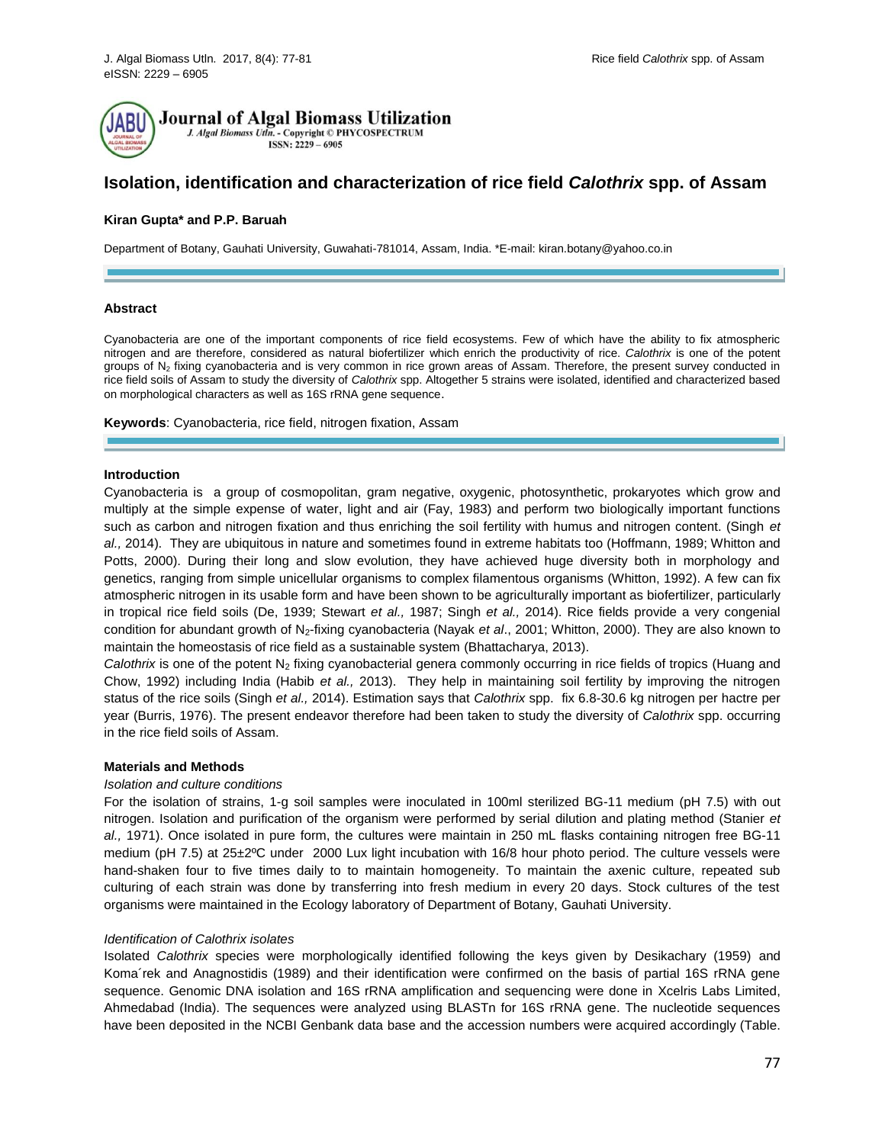

**Journal of Algal Biomass Utilization** 

J. Algal Biomass Utln. - Copyright © PHYCOSPECTRUM ISSN: 2229 - 6905

# **Isolation, identification and characterization of rice field** *Calothrix* **spp. of Assam**

# **Kiran Gupta\* and P.P. Baruah**

Department of Botany, Gauhati University, Guwahati-781014, Assam, India. \*E-mail[: kiran.botany@yahoo.co.in](mailto:kiran.botany@yahoo.co.in)

### **Abstract**

Cyanobacteria are one of the important components of rice field ecosystems. Few of which have the ability to fix atmospheric nitrogen and are therefore, considered as natural biofertilizer which enrich the productivity of rice. *Calothrix* is one of the potent groups of  $N<sub>2</sub>$  fixing cyanobacteria and is very common in rice grown areas of Assam. Therefore, the present survey conducted in rice field soils of Assam to study the diversity of *Calothrix* spp. Altogether 5 strains were isolated, identified and characterized based on morphological characters as well as 16S rRNA gene sequence.

**Keywords**: Cyanobacteria, rice field, nitrogen fixation, Assam

# **Introduction**

Cyanobacteria is a group of cosmopolitan, gram negative, oxygenic, photosynthetic, prokaryotes which grow and multiply at the simple expense of water, light and air (Fay, 1983) and perform two biologically important functions such as carbon and nitrogen fixation and thus enriching the soil fertility with humus and nitrogen content. (Singh *et al.,* 2014). They are ubiquitous in nature and sometimes found in extreme habitats too (Hoffmann, 1989; Whitton and Potts, 2000). During their long and slow evolution, they have achieved huge diversity both in morphology and genetics, ranging from simple unicellular organisms to complex filamentous organisms (Whitton, 1992). A few can fix atmospheric nitrogen in its usable form and have been shown to be agriculturally important as biofertilizer, particularly in tropical rice field soils (De, 1939; Stewart *et al.,* 1987; Singh *et al.,* 2014). Rice fields provide a very congenial condition for abundant growth of N2-fixing cyanobacteria (Nayak *et al*., 2001; Whitton, 2000). They are also known to maintain the homeostasis of rice field as a sustainable system (Bhattacharya, 2013).

*Calothrix* is one of the potent N<sub>2</sub> fixing cyanobacterial genera commonly occurring in rice fields of tropics (Huang and Chow, 1992) including India (Habib *et al.,* 2013). They help in maintaining soil fertility by improving the nitrogen status of the rice soils (Singh *et al.,* 2014). Estimation says that *Calothrix* spp. fix 6.8-30.6 kg nitrogen per hactre per year (Burris, 1976). The present endeavor therefore had been taken to study the diversity of *Calothrix* spp. occurring in the rice field soils of Assam.

### **Materials and Methods**

# *Isolation and culture conditions*

For the isolation of strains, 1-g soil samples were inoculated in 100ml sterilized BG-11 medium (pH 7.5) with out nitrogen. Isolation and purification of the organism were performed by serial dilution and plating method (Stanier *et al.,* 1971). Once isolated in pure form, the cultures were maintain in 250 mL flasks containing nitrogen free BG-11 medium (pH 7.5) at 25±2ºC under 2000 Lux light incubation with 16/8 hour photo period. The culture vessels were hand-shaken four to five times daily to to maintain homogeneity. To maintain the axenic culture, repeated sub culturing of each strain was done by transferring into fresh medium in every 20 days. Stock cultures of the test organisms were maintained in the Ecology laboratory of Department of Botany, Gauhati University.

### *Identification of Calothrix isolates*

Isolated *Calothrix* species were morphologically identified following the keys given by Desikachary (1959) and Koma´rek and Anagnostidis (1989) and their identification were confirmed on the basis of partial 16S rRNA gene sequence. Genomic DNA isolation and 16S rRNA amplification and sequencing were done in Xcelris Labs Limited, Ahmedabad (India). The sequences were analyzed using BLASTn for 16S rRNA gene. The nucleotide sequences have been deposited in the NCBI Genbank data base and the accession numbers were acquired accordingly (Table.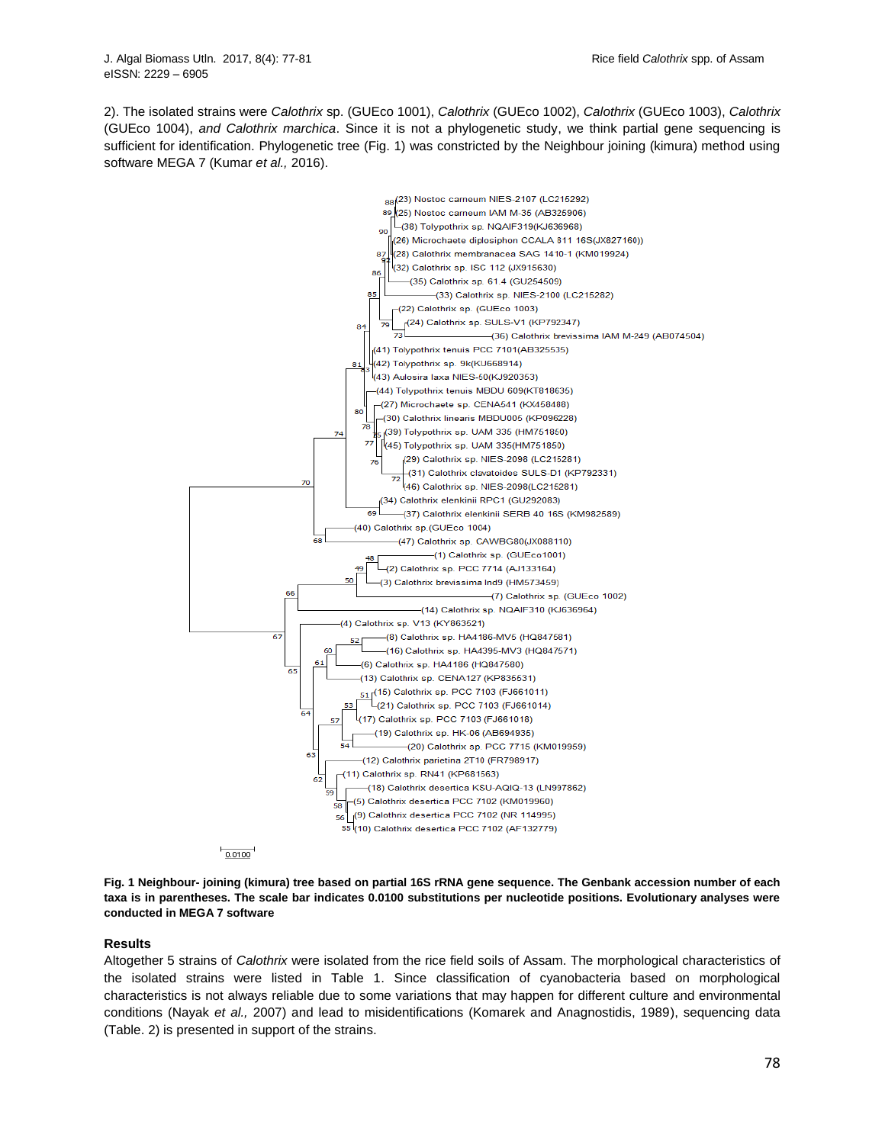2). The isolated strains were *Calothrix* sp. (GUEco 1001), *Calothrix* (GUEco 1002), *Calothrix* (GUEco 1003), *Calothrix*  (GUEco 1004), *and Calothrix marchica*. Since it is not a phylogenetic study, we think partial gene sequencing is sufficient for identification. Phylogenetic tree (Fig. 1) was constricted by the Neighbour joining (kimura) method using software MEGA 7 (Kumar *et al.,* 2016).



**Fig. 1 Neighbour- joining (kimura) tree based on partial 16S rRNA gene sequence. The Genbank accession number of each taxa is in parentheses. The scale bar indicates 0.0100 substitutions per nucleotide positions. Evolutionary analyses were conducted in MEGA 7 software**

# **Results**

Altogether 5 strains of *Calothrix* were isolated from the rice field soils of Assam. The morphological characteristics of the isolated strains were listed in Table 1. Since classification of cyanobacteria based on morphological characteristics is not always reliable due to some variations that may happen for different culture and environmental conditions (Nayak *et al.,* 2007) and lead to misidentifications (Komarek and Anagnostidis, 1989), sequencing data (Table. 2) is presented in support of the strains.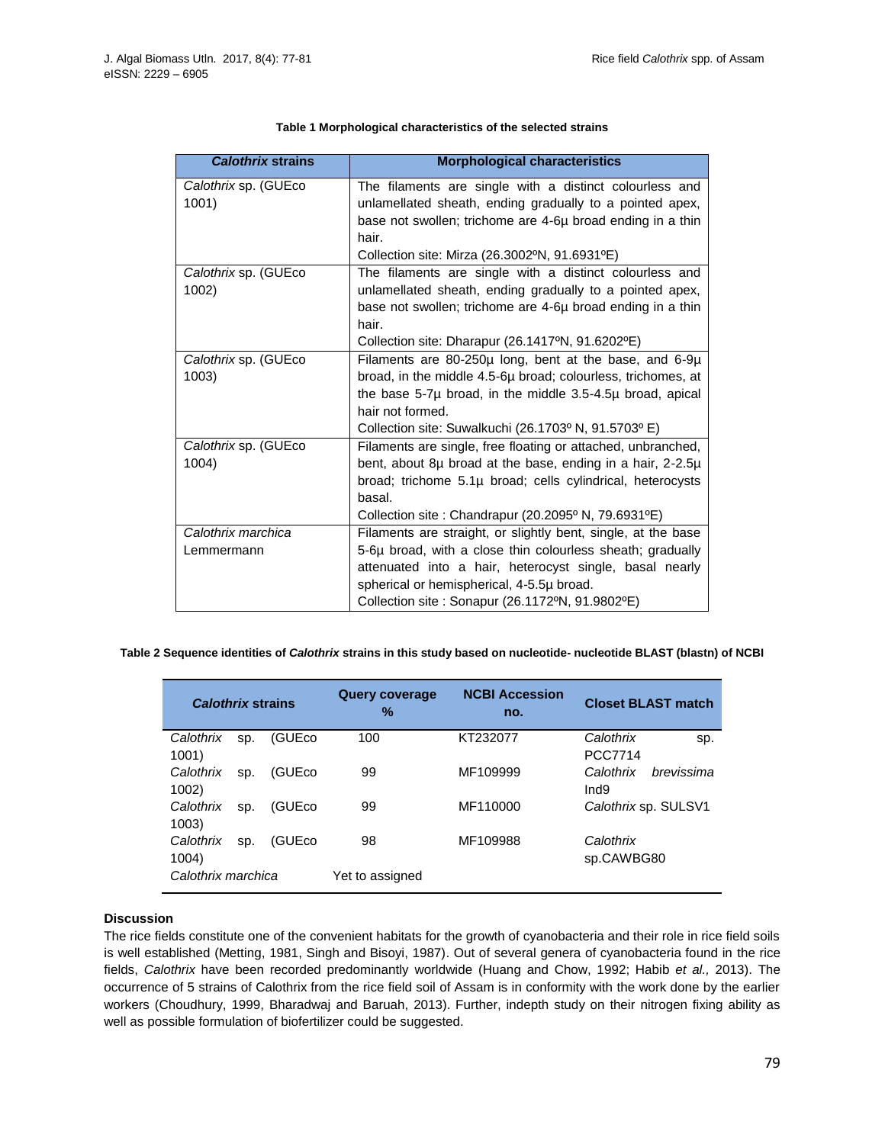| <b>Calothrix strains</b> | <b>Morphological characteristics</b>                                          |  |  |
|--------------------------|-------------------------------------------------------------------------------|--|--|
| Calothrix sp. (GUEco     | The filaments are single with a distinct colourless and                       |  |  |
| 1001)                    | unlamellated sheath, ending gradually to a pointed apex,                      |  |  |
|                          | base not swollen; trichome are 4-6µ broad ending in a thin                    |  |  |
|                          | hair.                                                                         |  |  |
|                          | Collection site: Mirza (26.3002°N, 91.6931°E)                                 |  |  |
| Calothrix sp. (GUEco     | The filaments are single with a distinct colourless and                       |  |  |
| 1002)                    | unlamellated sheath, ending gradually to a pointed apex,                      |  |  |
|                          | base not swollen; trichome are 4-6µ broad ending in a thin                    |  |  |
|                          | hair.                                                                         |  |  |
|                          | Collection site: Dharapur (26.1417°N, 91.6202°E)                              |  |  |
| Calothrix sp. (GUEco     | Filaments are 80-250µ long, bent at the base, and 6-9µ                        |  |  |
| 1003)                    | broad, in the middle 4.5-6µ broad; colourless, trichomes, at                  |  |  |
|                          | the base 5-7µ broad, in the middle 3.5-4.5µ broad, apical                     |  |  |
|                          | hair not formed.                                                              |  |  |
|                          | Collection site: Suwalkuchi (26.1703 <sup>o</sup> N, 91.5703 <sup>o</sup> E)  |  |  |
| Calothrix sp. (GUEco     | Filaments are single, free floating or attached, unbranched,                  |  |  |
| 1004)                    | bent, about 8µ broad at the base, ending in a hair, 2-2.5µ                    |  |  |
|                          | broad; trichome 5.1µ broad; cells cylindrical, heterocysts                    |  |  |
|                          | basal.                                                                        |  |  |
|                          | Collection site : Chandrapur (20.2095 <sup>o</sup> N, 79.6931 <sup>o</sup> E) |  |  |
| Calothrix marchica       | Filaments are straight, or slightly bent, single, at the base                 |  |  |
| Lemmermann               | 5-6µ broad, with a close thin colourless sheath; gradually                    |  |  |
|                          | attenuated into a hair, heterocyst single, basal nearly                       |  |  |
|                          | spherical or hemispherical, 4-5.5µ broad.                                     |  |  |
|                          | Collection site : Sonapur (26.1172ºN, 91.9802ºE)                              |  |  |

# **Table 1 Morphological characteristics of the selected strains**

# **Table 2 Sequence identities of** *Calothrix* **strains in this study based on nucleotide- nucleotide BLAST (blastn) of NCBI**

| <b>Calothrix strains</b> |     | <b>Query coverage</b><br>% | <b>NCBI Accession</b><br>no. | <b>Closet BLAST match</b> |                         |
|--------------------------|-----|----------------------------|------------------------------|---------------------------|-------------------------|
| Calothrix                | SD. | (GUEco                     | 100                          | KT232077                  | Calothrix<br>Sp.        |
| 1001)                    |     |                            |                              |                           | <b>PCC7714</b>          |
| Calothrix                | SD. | (GUE <sub>co</sub>         | 99                           | MF109999                  | Calothrix<br>brevissima |
| 1002)                    |     |                            |                              |                           | Ind <sub>9</sub>        |
| Calothrix                | SD. | (GUEco                     | 99                           | MF110000                  | Calothrix sp. SULSV1    |
| 1003)                    |     |                            |                              |                           |                         |
| Calothrix                | SD. | (GUEco                     | 98                           | MF109988                  | Calothrix               |
| 1004)                    |     |                            |                              |                           | sp.CAWBG80              |
| Calothrix marchica       |     | Yet to assigned            |                              |                           |                         |

# **Discussion**

The rice fields constitute one of the convenient habitats for the growth of cyanobacteria and their role in rice field soils is well established (Metting, 1981, Singh and Bisoyi, 1987). Out of several genera of cyanobacteria found in the rice fields, *Calothrix* have been recorded predominantly worldwide (Huang and Chow, 1992; Habib *et al.,* 2013). The occurrence of 5 strains of Calothrix from the rice field soil of Assam is in conformity with the work done by the earlier workers (Choudhury, 1999, Bharadwaj and Baruah, 2013). Further, indepth study on their nitrogen fixing ability as well as possible formulation of biofertilizer could be suggested.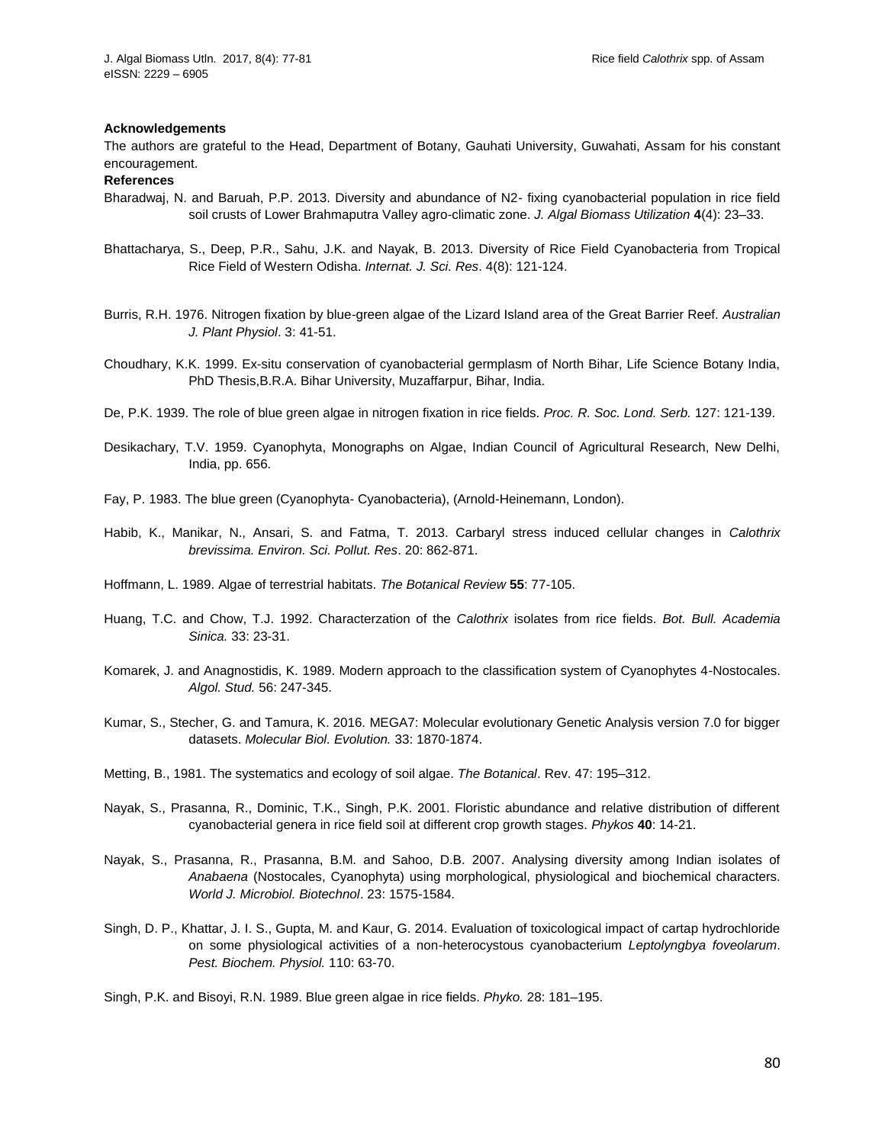#### **Acknowledgements**

The authors are grateful to the Head, Department of Botany, Gauhati University, Guwahati, Assam for his constant encouragement.

#### **References**

- Bharadwaj, N. and Baruah, P.P. 2013. Diversity and abundance of N2- fixing cyanobacterial population in rice field soil crusts of Lower Brahmaputra Valley agro-climatic zone. *J. Algal Biomass Utilization* **4**(4): 23–33.
- Bhattacharya, S., Deep, P.R., Sahu, J.K. and Nayak, B. 2013. Diversity of Rice Field Cyanobacteria from Tropical Rice Field of Western Odisha. *Internat. J. Sci. Res*. 4(8): 121-124.
- Burris, R.H. 1976. Nitrogen fixation by blue-green algae of the Lizard Island area of the Great Barrier Reef. *Australian J. Plant Physiol*. 3: 41-51.
- Choudhary, K.K. 1999. Ex-situ conservation of cyanobacterial germplasm of North Bihar, Life Science Botany India, PhD Thesis,B.R.A. Bihar University, Muzaffarpur, Bihar, India.
- De, P.K. 1939. The role of blue green algae in nitrogen fixation in rice fields. *Proc. R. Soc. Lond. Serb.* 127: 121-139.
- Desikachary, T.V. 1959. Cyanophyta, Monographs on Algae, Indian Council of Agricultural Research, New Delhi, India, pp. 656.
- Fay, P. 1983. The blue green (Cyanophyta- Cyanobacteria), (Arnold-Heinemann, London).
- Habib, K., Manikar, N., Ansari, S. and Fatma, T. 2013. Carbaryl stress induced cellular changes in *Calothrix brevissima. Environ. Sci. Pollut. Res*. 20: 862-871.
- Hoffmann, L. 1989. Algae of terrestrial habitats. *The Botanical Review* **55**: 77-105.
- Huang, T.C. and Chow, T.J. 1992. Characterzation of the *Calothrix* isolates from rice fields. *Bot. Bull. Academia Sinica.* 33: 23-31.
- Komarek, J. and Anagnostidis, K. 1989. Modern approach to the classification system of Cyanophytes 4-Nostocales. *Algol. Stud.* 56: 247-345.
- Kumar, S., Stecher, G. and Tamura, K. 2016. MEGA7: Molecular evolutionary Genetic Analysis version 7.0 for bigger datasets. *Molecular Biol. Evolution.* 33: 1870-1874.
- Metting, B., 1981. The systematics and ecology of soil algae. *The Botanical*. Rev. 47: 195–312.
- Nayak, S., Prasanna, R., Dominic, T.K., Singh, P.K. 2001. Floristic abundance and relative distribution of different cyanobacterial genera in rice field soil at different crop growth stages. *Phykos* **40**: 14-21.
- Nayak, S., Prasanna, R., Prasanna, B.M. and Sahoo, D.B. 2007. Analysing diversity among Indian isolates of *Anabaena* (Nostocales, Cyanophyta) using morphological, physiological and biochemical characters. *World J. Microbiol. Biotechnol*. 23: 1575-1584.
- Singh, D. P., Khattar, J. I. S., Gupta, M. and Kaur, G. 2014. Evaluation of toxicological impact of cartap hydrochloride on some physiological activities of a non-heterocystous cyanobacterium *Leptolyngbya foveolarum*. *Pest. Biochem. Physiol.* 110: 63-70.

Singh, P.K. and Bisoyi, R.N. 1989. Blue green algae in rice fields. *Phyko.* 28: 181–195.